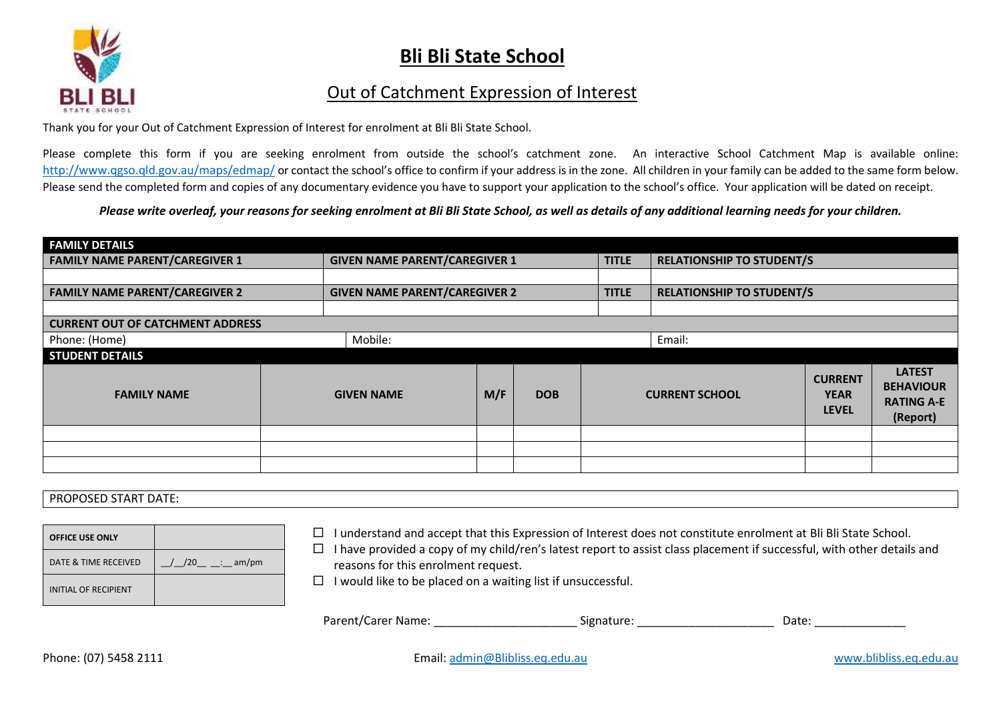

## **Bli Bli State School**

## Out of Catchment Expression of Interest

Thank you for your Out of Catchment Expression of Interest for enrolment at Bli Bli State School.

Please complete this form if you are seeking enrolment from outside the school's catchment zone. An interactive School Catchment Map is available online: <http://www.qgso.qld.gov.au/maps/edmap/> or contact the school's office to confirm if your address is in the zone. All children in your family can be added to the same form below. Please send the completed form and copies of any documentary evidence you have to support your application to the school's office. Your application will be dated on receipt.

## *Please write overleaf, your reasons for seeking enrolment at Bli Bli State School, as well as details of any additional learning needs for your children.*

| <b>FAMILY DETAILS</b>                   |                   |                                      |            |              |                                  |                                               |                                                                    |  |
|-----------------------------------------|-------------------|--------------------------------------|------------|--------------|----------------------------------|-----------------------------------------------|--------------------------------------------------------------------|--|
| <b>FAMILY NAME PARENT/CAREGIVER 1</b>   |                   | <b>GIVEN NAME PARENT/CAREGIVER 1</b> |            |              | <b>RELATIONSHIP TO STUDENT/S</b> |                                               |                                                                    |  |
|                                         |                   |                                      |            |              |                                  |                                               |                                                                    |  |
| <b>FAMILY NAME PARENT/CAREGIVER 2</b>   |                   | <b>GIVEN NAME PARENT/CAREGIVER 2</b> |            | <b>TITLE</b> | <b>RELATIONSHIP TO STUDENT/S</b> |                                               |                                                                    |  |
|                                         |                   |                                      |            |              |                                  |                                               |                                                                    |  |
| <b>CURRENT OUT OF CATCHMENT ADDRESS</b> |                   |                                      |            |              |                                  |                                               |                                                                    |  |
| Phone: (Home)                           | Mobile:           |                                      |            |              | Email:                           |                                               |                                                                    |  |
| <b>STUDENT DETAILS</b>                  |                   |                                      |            |              |                                  |                                               |                                                                    |  |
| <b>FAMILY NAME</b>                      | <b>GIVEN NAME</b> | M/F                                  | <b>DOB</b> |              | <b>CURRENT SCHOOL</b>            | <b>CURRENT</b><br><b>YEAR</b><br><b>LEVEL</b> | <b>LATEST</b><br><b>BEHAVIOUR</b><br><b>RATING A-E</b><br>(Report) |  |
|                                         |                   |                                      |            |              |                                  |                                               |                                                                    |  |
|                                         |                   |                                      |            |              |                                  |                                               |                                                                    |  |
|                                         |                   |                                      |            |              |                                  |                                               |                                                                    |  |

## PROPOSED START DATE:

| <b>OFFICE USE ONLY</b>      |               |
|-----------------------------|---------------|
| DATE & TIME RECEIVED        | $/20$ : am/pm |
| <b>INITIAL OF RECIPIENT</b> |               |

- **OFFICE USE ONLY** I understand and accept that this Expression of Interest does not constitute enrolment at Bli Bli State School.
- $\Box$  I have provided a copy of my child/ren's latest report to assist class placement if successful, with other details and reasons for this enrolment request.
- $\square$  I would like to be placed on a waiting list if unsuccessful.

| Parent/Carer Name: | Signature: | Date. |  |
|--------------------|------------|-------|--|
|--------------------|------------|-------|--|